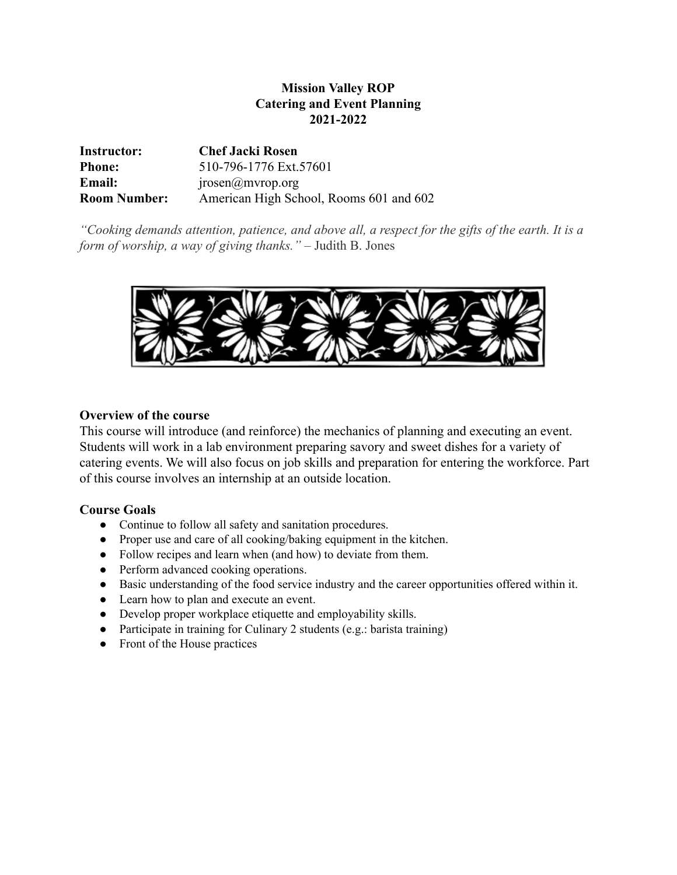# **Mission Valley ROP Catering and Event Planning 2021-2022**

| Instructor:         | <b>Chef Jacki Rosen</b>                 |
|---------------------|-----------------------------------------|
| <b>Phone:</b>       | 510-796-1776 Ext.57601                  |
| <b>Email:</b>       | jrosen(a)mvrop.org                      |
| <b>Room Number:</b> | American High School, Rooms 601 and 602 |

*"Cooking demands attention, patience, and above all, a respect for the gifts of the earth. It is a form of worship, a way of giving thanks."* – Judith B. Jones



## **Overview of the course**

This course will introduce (and reinforce) the mechanics of planning and executing an event. Students will work in a lab environment preparing savory and sweet dishes for a variety of catering events. We will also focus on job skills and preparation for entering the workforce. Part of this course involves an internship at an outside location.

## **Course Goals**

- Continue to follow all safety and sanitation procedures.
- Proper use and care of all cooking/baking equipment in the kitchen.
- Follow recipes and learn when (and how) to deviate from them.
- Perform advanced cooking operations.
- Basic understanding of the food service industry and the career opportunities offered within it.
- Learn how to plan and execute an event.
- Develop proper workplace etiquette and employability skills.
- Participate in training for Culinary 2 students (e.g.: barista training)
- Front of the House practices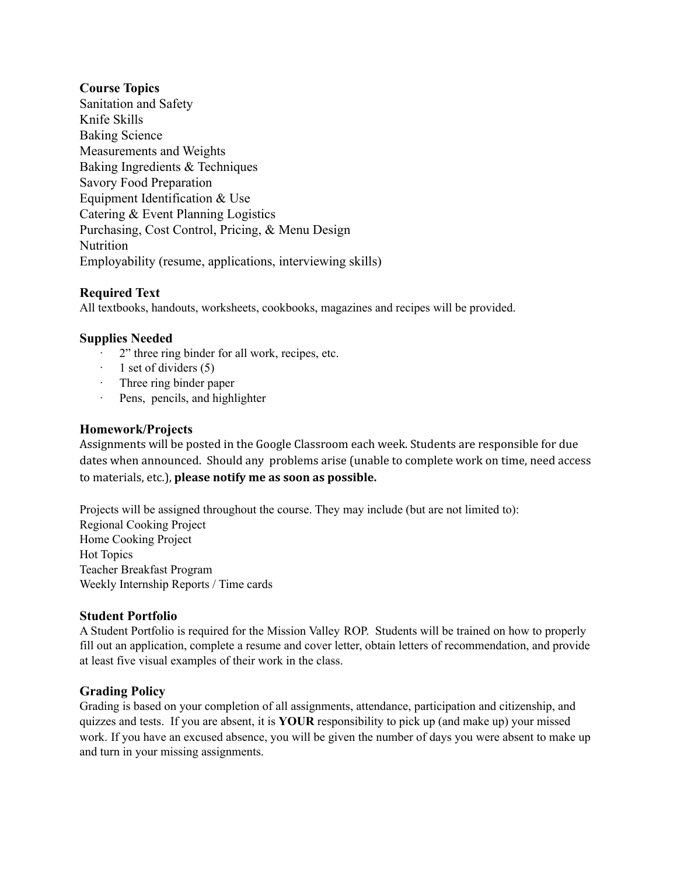## **Course Topics**

Sanitation and Safety Knife Skills Baking Science Measurements and Weights Baking Ingredients & Techniques Savory Food Preparation Equipment Identification & Use Catering & Event Planning Logistics Purchasing, Cost Control, Pricing, & Menu Design **Nutrition** Employability (resume, applications, interviewing skills)

### **Required Text**

All textbooks, handouts, worksheets, cookbooks, magazines and recipes will be provided.

### **Supplies Needed**

- 2" three ring binder for all work, recipes, etc.
- · 1 set of dividers (5)
- · Three ring binder paper
- · Pens, pencils, and highlighter

### **Homework/Projects**

Assignments will be posted in the Google Classroom each week. Students are responsible for due dates when announced. Should any problems arise (unable to complete work on time, need access to materials, etc.), **please notify me as soon as possible.**

Projects will be assigned throughout the course. They may include (but are not limited to): Regional Cooking Project Home Cooking Project Hot Topics Teacher Breakfast Program Weekly Internship Reports / Time cards

### **Student Portfolio**

A Student Portfolio is required for the Mission Valley ROP. Students will be trained on how to properly fill out an application, complete a resume and cover letter, obtain letters of recommendation, and provide at least five visual examples of their work in the class.

### **Grading Policy**

Grading is based on your completion of all assignments, attendance, participation and citizenship, and quizzes and tests. If you are absent, it is **YOUR** responsibility to pick up (and make up) your missed work. If you have an excused absence, you will be given the number of days you were absent to make up and turn in your missing assignments.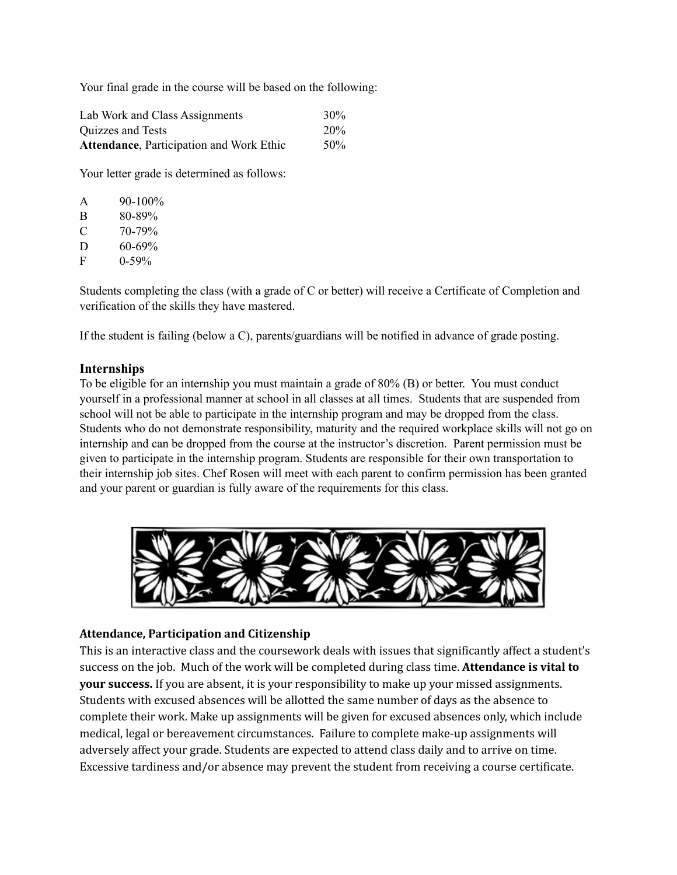Your final grade in the course will be based on the following:

| Lab Work and Class Assignments                   | $30\%$          |
|--------------------------------------------------|-----------------|
| Quizzes and Tests                                | 20 <sub>%</sub> |
| <b>Attendance</b> , Participation and Work Ethic | .50%            |

Your letter grade is determined as follows:

| A | $90 - 100\%$ |
|---|--------------|
| B | 80-89%       |
| € | 70-79%       |
| D | $60 - 69\%$  |
| F | $0-59%$      |

Students completing the class (with a grade of C or better) will receive a Certificate of Completion and verification of the skills they have mastered.

If the student is failing (below a C), parents/guardians will be notified in advance of grade posting.

#### **Internships**

To be eligible for an internship you must maintain a grade of 80% (B) or better. You must conduct yourself in a professional manner at school in all classes at all times. Students that are suspended from school will not be able to participate in the internship program and may be dropped from the class. Students who do not demonstrate responsibility, maturity and the required workplace skills will not go on internship and can be dropped from the course at the instructor's discretion. Parent permission must be given to participate in the internship program. Students are responsible for their own transportation to their internship job sites. Chef Rosen will meet with each parent to confirm permission has been granted and your parent or guardian is fully aware of the requirements for this class.



#### **Attendance, Participation and Citizenship**

This is an interactive class and the coursework deals with issues that significantly affect a student's success on the job. Much of the work will be completed during class time. **Attendance is vital to your success.** If you are absent, it is your responsibility to make up your missed assignments. Students with excused absences will be allotted the same number of days as the absence to complete their work. Make up assignments will be given for excused absences only, which include medical, legal or bereavement circumstances. Failure to complete make-up assignments will adversely affect your grade. Students are expected to attend class daily and to arrive on time. Excessive tardiness and/or absence may prevent the student from receiving a course certificate.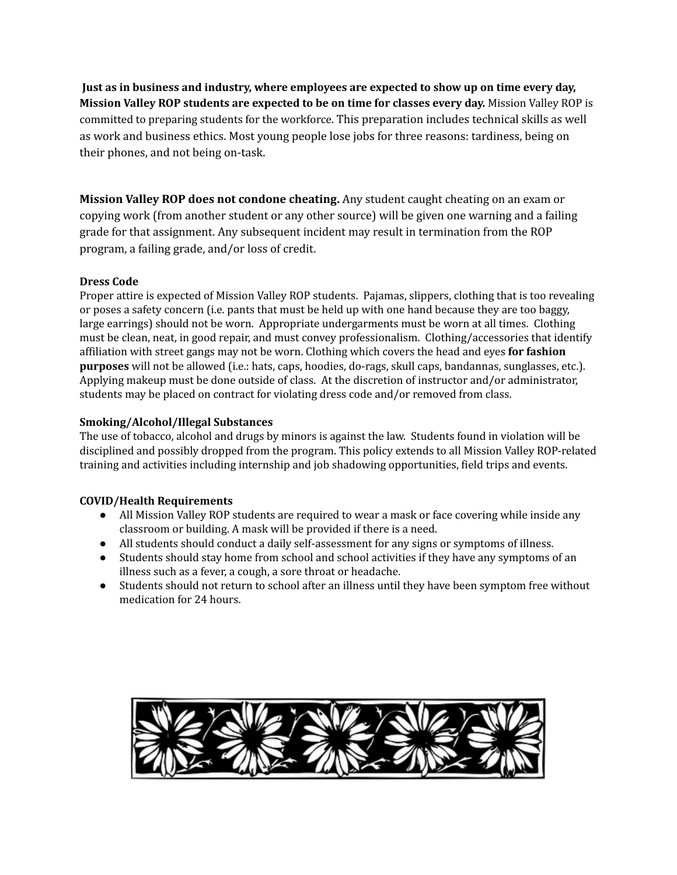**Just as in business and industry, where employees are expected to show up on time every day, Mission Valley ROP students are expected to be on time for classes every day.** Mission Valley ROP is committed to preparing students for the workforce. This preparation includes technical skills as well as work and business ethics. Most young people lose jobs for three reasons: tardiness, being on their phones, and not being on-task.

**Mission Valley ROP does not condone cheating.** Any student caught cheating on an exam or copying work (from another student or any other source) will be given one warning and a failing grade for that assignment. Any subsequent incident may result in termination from the ROP program, a failing grade, and/or loss of credit.

### **Dress Code**

Proper attire is expected of Mission Valley ROP students. Pajamas, slippers, clothing that is too revealing or poses a safety concern (i.e. pants that must be held up with one hand because they are too baggy, large earrings) should not be worn. Appropriate undergarments must be worn at all times. Clothing must be clean, neat, in good repair, and must convey professionalism. Clothing/accessories that identify affiliation with street gangs may not be worn. Clothing which covers the head and eyes **for fashion purposes** will not be allowed (i.e.: hats, caps, hoodies, do-rags, skull caps, bandannas, sunglasses, etc.). Applying makeup must be done outside of class. At the discretion of instructor and/or administrator, students may be placed on contract for violating dress code and/or removed from class.

#### **Smoking/Alcohol/Illegal Substances**

The use of tobacco, alcohol and drugs by minors is against the law. Students found in violation will be disciplined and possibly dropped from the program. This policy extends to all Mission Valley ROP-related training and activities including internship and job shadowing opportunities, field trips and events.

#### **COVID/Health Requirements**

- All Mission Valley ROP students are required to wear a mask or face covering while inside any classroom or building. A mask will be provided if there is a need.
- All students should conduct a daily self-assessment for any signs or symptoms of illness.
- Students should stay home from school and school activities if they have any symptoms of an illness such as a fever, a cough, a sore throat or headache.
- Students should not return to school after an illness until they have been symptom free without medication for 24 hours.